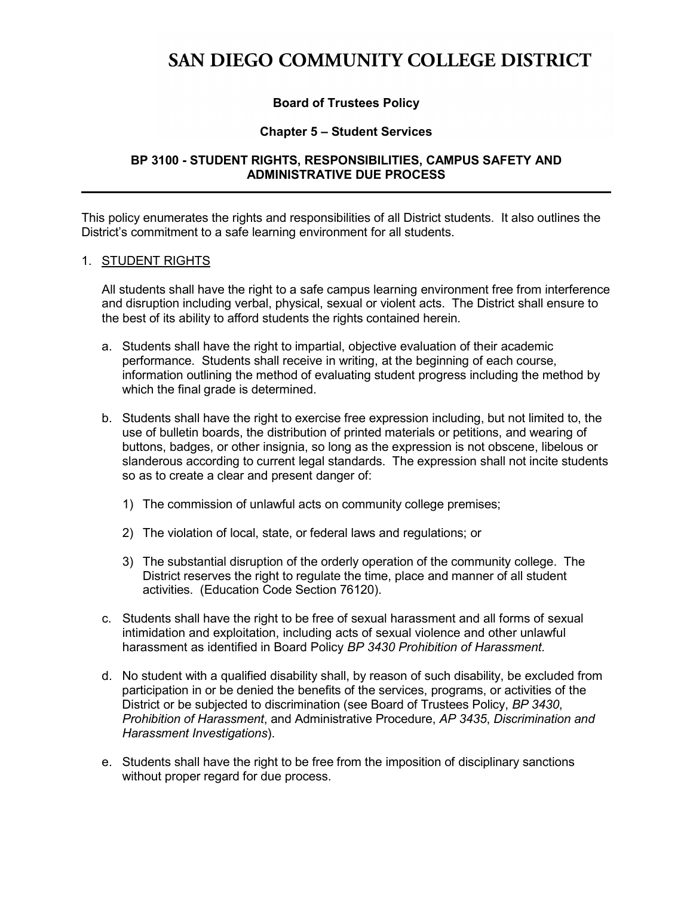# SAN DIEGO COMMUNITY COLLEGE DISTRICT

## **Board of Trustees Policy**

### **Chapter 5 – Student Services**

### **BP 3100 - STUDENT RIGHTS, RESPONSIBILITIES, CAMPUS SAFETY AND ADMINISTRATIVE DUE PROCESS**

This policy enumerates the rights and responsibilities of all District students. It also outlines the District's commitment to a safe learning environment for all students.

#### 1. STUDENT RIGHTS

All students shall have the right to a safe campus learning environment free from interference and disruption including verbal, physical, sexual or violent acts. The District shall ensure to the best of its ability to afford students the rights contained herein.

- a. Students shall have the right to impartial, objective evaluation of their academic performance. Students shall receive in writing, at the beginning of each course, information outlining the method of evaluating student progress including the method by which the final grade is determined.
- b. Students shall have the right to exercise free expression including, but not limited to, the use of bulletin boards, the distribution of printed materials or petitions, and wearing of buttons, badges, or other insignia, so long as the expression is not obscene, libelous or slanderous according to current legal standards. The expression shall not incite students so as to create a clear and present danger of:
	- 1) The commission of unlawful acts on community college premises;
	- 2) The violation of local, state, or federal laws and regulations; or
	- 3) The substantial disruption of the orderly operation of the community college. The District reserves the right to regulate the time, place and manner of all student activities. [\(Education](http://www.leginfo.ca.gov/cgi-bin/displaycode?section=edc&group=76001-77000&file=76120-76121) Code Section 76120).
- c. Students shall have the right to be free of sexual harassment and all forms of sexual intimidation and exploitation, including acts of sexual violence and other unlawful harassment as identified in Board Policy *BP 3430 Prohibition of Harassment.*
- d. No student with a qualified disability shall, by reason of such disability, be excluded from participation in or be denied the benefits of the services, programs, or activities of the District or be subjected to discrimination (see Board of Trustees Policy, *BP 3430*, *Prohibition of Harassment*, and Administrative Procedure, *AP 3435*, *Discrimination and Harassment Investigations*).
- e. Students shall have the right to be free from the imposition of disciplinary sanctions without proper regard for due process.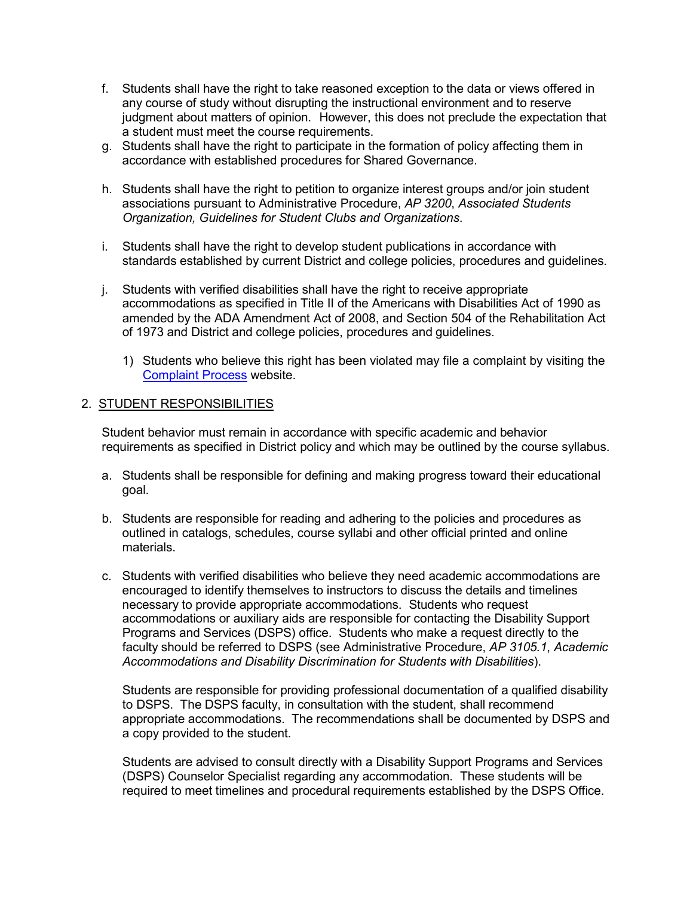- f. Students shall have the right to take reasoned exception to the data or views offered in any course of study without disrupting the instructional environment and to reserve judgment about matters of opinion. However, this does not preclude the expectation that a student must meet the course requirements.
- g. Students shall have the right to participate in the formation of policy affecting them in accordance with established procedures for Shared Governance.
- h. Students shall have the right to petition to organize interest groups and/or join student associations pursuant to Administrative Procedure, *AP 3200*, *Associated Students Organization, Guidelines for Student Clubs and Organizations*.
- i. Students shall have the right to develop student publications in accordance with standards established by current District and college policies, procedures and guidelines.
- j. Students with verified disabilities shall have the right to receive appropriate accommodations as specified in Title II of the Americans with Disabilities Act of 1990 as amended by the ADA Amendment Act of 2008, and Section 504 of the Rehabilitation Act of 1973 and District and college policies, procedures and guidelines.
	- 1) Students who believe this right has been violated may file a complaint by visiting the [Complaint](https://www.sdccd.edu/students/complaint-process/index.aspx) Process website.

#### 2. STUDENT RESPONSIBILITIES

Student behavior must remain in accordance with specific academic and behavior requirements as specified in District policy and which may be outlined by the course syllabus.

- a. Students shall be responsible for defining and making progress toward their educational goal.
- b. Students are responsible for reading and adhering to the policies and procedures as outlined in catalogs, schedules, course syllabi and other official printed and online materials.
- c. Students with verified disabilities who believe they need academic accommodations are encouraged to identify themselves to instructors to discuss the details and timelines necessary to provide appropriate accommodations. Students who request accommodations or auxiliary aids are responsible for contacting the Disability Support Programs and Services (DSPS) office. Students who make a request directly to the faculty should be referred to DSPS (see Administrative Procedure, *AP 3105.1*, *Academic Accommodations and Disability Discrimination for Students with Disabilities*).

Students are responsible for providing professional documentation of a qualified disability to DSPS. The DSPS faculty, in consultation with the student, shall recommend appropriate accommodations. The recommendations shall be documented by DSPS and a copy provided to the student.

Students are advised to consult directly with a Disability Support Programs and Services (DSPS) Counselor Specialist regarding any accommodation. These students will be required to meet timelines and procedural requirements established by the DSPS Office.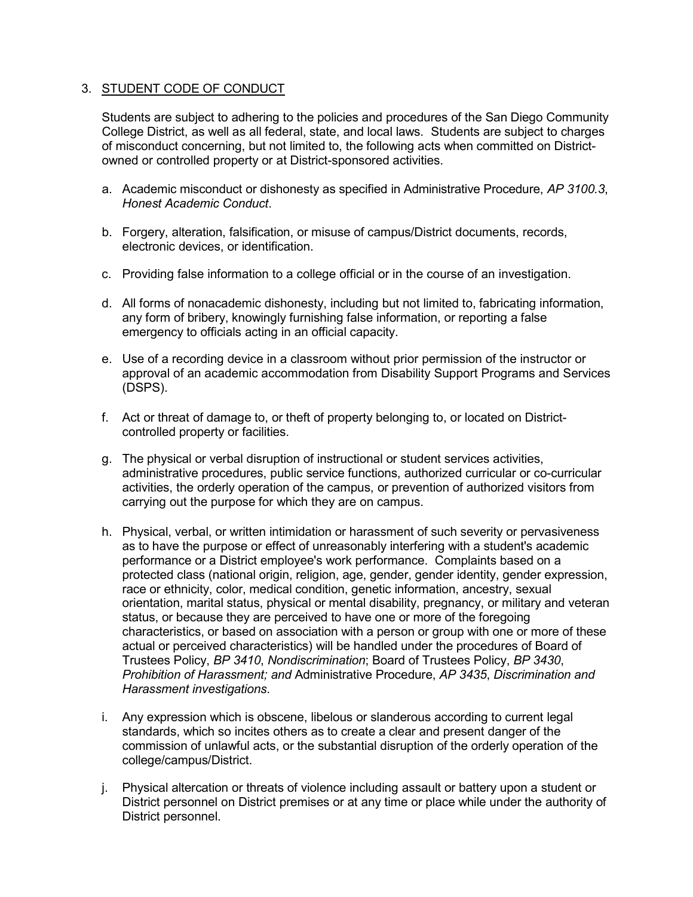### 3. STUDENT CODE OF CONDUCT

Students are subject to adhering to the policies and procedures of the San Diego Community College District, as well as all federal, state, and local laws. Students are subject to charges of misconduct concerning, but not limited to, the following acts when committed on Districtowned or controlled property or at District-sponsored activities.

- a. Academic misconduct or dishonesty as specified in Administrative Procedure, *AP 3100.3*, *Honest Academic Conduct*.
- b. Forgery, alteration, falsification, or misuse of campus/District documents, records, electronic devices, or identification.
- c. Providing false information to a college official or in the course of an investigation.
- d. All forms of nonacademic dishonesty, including but not limited to, fabricating information, any form of bribery, knowingly furnishing false information, or reporting a false emergency to officials acting in an official capacity.
- e. Use of a recording device in a classroom without prior permission of the instructor or approval of an academic accommodation from Disability Support Programs and Services (DSPS).
- f. Act or threat of damage to, or theft of property belonging to, or located on Districtcontrolled property or facilities.
- g. The physical or verbal disruption of instructional or student services activities, administrative procedures, public service functions, authorized curricular or co-curricular activities, the orderly operation of the campus, or prevention of authorized visitors from carrying out the purpose for which they are on campus.
- h. Physical, verbal, or written intimidation or harassment of such severity or pervasiveness as to have the purpose or effect of unreasonably interfering with a student's academic performance or a District employee's work performance. Complaints based on a protected class (national origin, religion, age, gender, gender identity, gender expression, race or ethnicity, color, medical condition, genetic information, ancestry, sexual orientation, marital status, physical or mental disability, pregnancy, or military and veteran status, or because they are perceived to have one or more of the foregoing characteristics, or based on association with a person or group with one or more of these actual or perceived characteristics) will be handled under the procedures of Board of Trustees Policy, *BP 3410*, *Nondiscrimination*; Board of Trustees Policy, *[BP 3430](http://www.sdccd.edu/docs/policies/District%20Governance/BP%203430.pdf)*, *[Prohibition of Harassment;](http://www.sdccd.edu/docs/policies/District%20Governance/BP%203430.pdf) and* Administrative Procedure, *AP 3435*, *[Discrimination and](http://www.sdccd.edu/docs/procedures/District%20Governance/AP%203435.pdf)  [Harassment investigations](http://www.sdccd.edu/docs/procedures/District%20Governance/AP%203435.pdf)*.
- i. Any expression which is obscene, libelous or slanderous according to current legal standards, which so incites others as to create a clear and present danger of the commission of unlawful acts, or the substantial disruption of the orderly operation of the college/campus/District.
- j. Physical altercation or threats of violence including assault or battery upon a student or District personnel on District premises or at any time or place while under the authority of District personnel.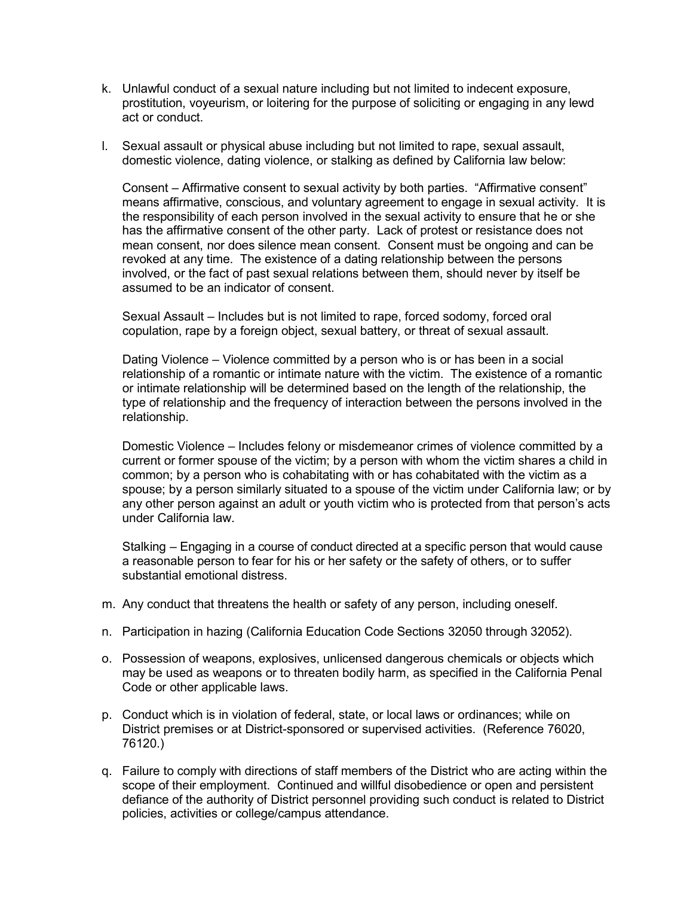- k. Unlawful conduct of a sexual nature including but not limited to indecent exposure, prostitution, voyeurism, or loitering for the purpose of soliciting or engaging in any lewd act or conduct.
- l. Sexual assault or physical abuse including but not limited to rape, sexual assault, domestic violence, dating violence, or stalking as defined by California law below:

Consent – Affirmative consent to sexual activity by both parties. "Affirmative consent" means affirmative, conscious, and voluntary agreement to engage in sexual activity. It is the responsibility of each person involved in the sexual activity to ensure that he or she has the affirmative consent of the other party. Lack of protest or resistance does not mean consent, nor does silence mean consent. Consent must be ongoing and can be revoked at any time. The existence of a dating relationship between the persons involved, or the fact of past sexual relations between them, should never by itself be assumed to be an indicator of consent.

Sexual Assault – Includes but is not limited to rape, forced sodomy, forced oral copulation, rape by a foreign object, sexual battery, or threat of sexual assault.

Dating Violence – Violence committed by a person who is or has been in a social relationship of a romantic or intimate nature with the victim. The existence of a romantic or intimate relationship will be determined based on the length of the relationship, the type of relationship and the frequency of interaction between the persons involved in the relationship.

Domestic Violence – Includes felony or misdemeanor crimes of violence committed by a current or former spouse of the victim; by a person with whom the victim shares a child in common; by a person who is cohabitating with or has cohabitated with the victim as a spouse; by a person similarly situated to a spouse of the victim under California law; or by any other person against an adult or youth victim who is protected from that person's acts under California law.

Stalking – Engaging in a course of conduct directed at a specific person that would cause a reasonable person to fear for his or her safety or the safety of others, or to suffer substantial emotional distress.

- m. Any conduct that threatens the health or safety of any person, including oneself.
- n. Participation in hazing (California Education Code Sections [32050](http://www.leginfo.ca.gov/cgi-bin/displaycode?section=edc&group=32001-33000&file=32050-32051) through 32052).
- o. Possession of weapons, explosives, unlicensed dangerous chemicals or objects which may be used as weapons or to threaten bodily harm, as specified in the California Penal Code or other applicable laws.
- p. Conduct which is in violation of federal, state, or local laws or ordinances; while on District premises or at District-sponsored or supervised activities. (Reference 76020, 76120.)
- q. Failure to comply with directions of staff members of the District who are acting within the scope of their employment. Continued and willful disobedience or open and persistent defiance of the authority of District personnel providing such conduct is related to District policies, activities or college/campus attendance.